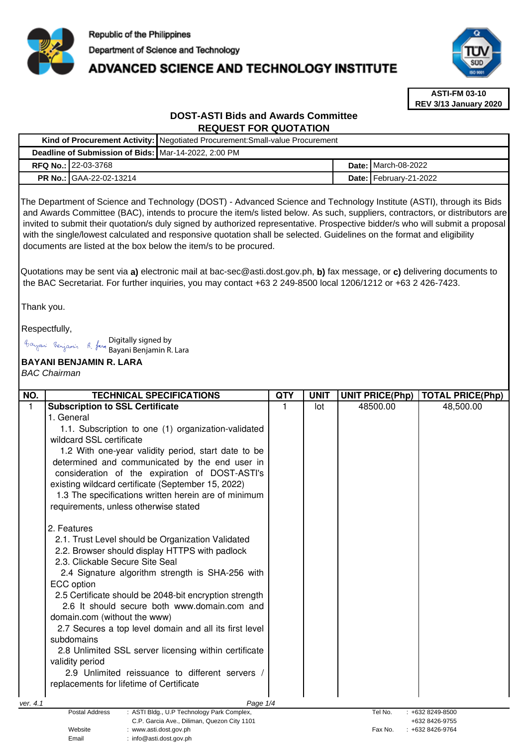

# **ADVANCED SCIENCE AND TECHNOLOGY INSTITUTE**



**ASTI-FM 03-10 REV 3/13 January 2020**

## **DOST-ASTI Bids and Awards Committee REQUEST FOR QUOTATION**

|                                                                                                                      |                            | Kind of Procurement Activity: Negotiated Procurement: Small-value Procurement |  |                              |  |
|----------------------------------------------------------------------------------------------------------------------|----------------------------|-------------------------------------------------------------------------------|--|------------------------------|--|
| Deadline of Submission of Bids: Mar-14-2022, 2:00 PM                                                                 |                            |                                                                               |  |                              |  |
|                                                                                                                      | <b>RFQ No.: 22-03-3768</b> |                                                                               |  | <b>Date: I</b> March-08-2022 |  |
|                                                                                                                      | PR No.: GAA-22-02-13214    |                                                                               |  | Date: February-21-2022       |  |
| The Department of Science and Technology (DOST) - Advanced Science and Technology Institute (ASTI), through its Bids |                            |                                                                               |  |                              |  |

 and Awards Committee (BAC), intends to procure the item/s listed below. As such, suppliers, contractors, or distributors are invited to submit their quotation/s duly signed by authorized representative. Prospective bidder/s who will submit a proposal with the single/lowest calculated and responsive quotation shall be selected. Guidelines on the format and eligibility documents are listed at the box below the item/s to be procured.

Quotations may be sent via **a)** electronic mail at bac-sec@asti.dost.gov.ph, **b)** fax message, or **c)** delivering documents to the BAC Secretariat. For further inquiries, you may contact +63 2 249-8500 local 1206/1212 or +63 2 426-7423.

Thank you.

Respectfully,

Digitally signed by Bayani Benjamin R. Lara

Email : info@asti.dost.gov.ph

### **BAYANI BENJAMIN R. LARA**

BAC Chairman

| NO.      | <b>TECHNICAL SPECIFICATIONS</b>                                                  | QTY | <b>UNIT</b> | <b>UNIT PRICE(Php)</b> | <b>TOTAL PRICE(Php)</b>          |
|----------|----------------------------------------------------------------------------------|-----|-------------|------------------------|----------------------------------|
| 1        | <b>Subscription to SSL Certificate</b>                                           |     | lot         | 48500.00               | 48,500.00                        |
|          | 1. General                                                                       |     |             |                        |                                  |
|          | 1.1. Subscription to one (1) organization-validated                              |     |             |                        |                                  |
|          | wildcard SSL certificate                                                         |     |             |                        |                                  |
|          | 1.2 With one-year validity period, start date to be                              |     |             |                        |                                  |
|          | determined and communicated by the end user in                                   |     |             |                        |                                  |
|          | consideration of the expiration of DOST-ASTI's                                   |     |             |                        |                                  |
|          | existing wildcard certificate (September 15, 2022)                               |     |             |                        |                                  |
|          | 1.3 The specifications written herein are of minimum                             |     |             |                        |                                  |
|          | requirements, unless otherwise stated                                            |     |             |                        |                                  |
|          | 2. Features                                                                      |     |             |                        |                                  |
|          | 2.1. Trust Level should be Organization Validated                                |     |             |                        |                                  |
|          | 2.2. Browser should display HTTPS with padlock                                   |     |             |                        |                                  |
|          | 2.3. Clickable Secure Site Seal                                                  |     |             |                        |                                  |
|          | 2.4 Signature algorithm strength is SHA-256 with                                 |     |             |                        |                                  |
|          | ECC option                                                                       |     |             |                        |                                  |
|          | 2.5 Certificate should be 2048-bit encryption strength                           |     |             |                        |                                  |
|          | 2.6 It should secure both www.domain.com and                                     |     |             |                        |                                  |
|          | domain.com (without the www)                                                     |     |             |                        |                                  |
|          | 2.7 Secures a top level domain and all its first level                           |     |             |                        |                                  |
|          | subdomains                                                                       |     |             |                        |                                  |
|          | 2.8 Unlimited SSL server licensing within certificate                            |     |             |                        |                                  |
|          | validity period                                                                  |     |             |                        |                                  |
|          | 2.9 Unlimited reissuance to different servers /                                  |     |             |                        |                                  |
|          | replacements for lifetime of Certificate                                         |     |             |                        |                                  |
| ver. 4.1 | Page 1/4                                                                         |     |             |                        |                                  |
|          | Postal Address<br>: ASTI Bldg., U.P Technology Park Complex,                     |     |             | Tel No.                | : +632 8249-8500                 |
|          | C.P. Garcia Ave., Diliman, Quezon City 1101<br>Website<br>: www.asti.dost.gov.ph |     |             | Fax No.                | +632 8426-9755<br>+632 8426-9764 |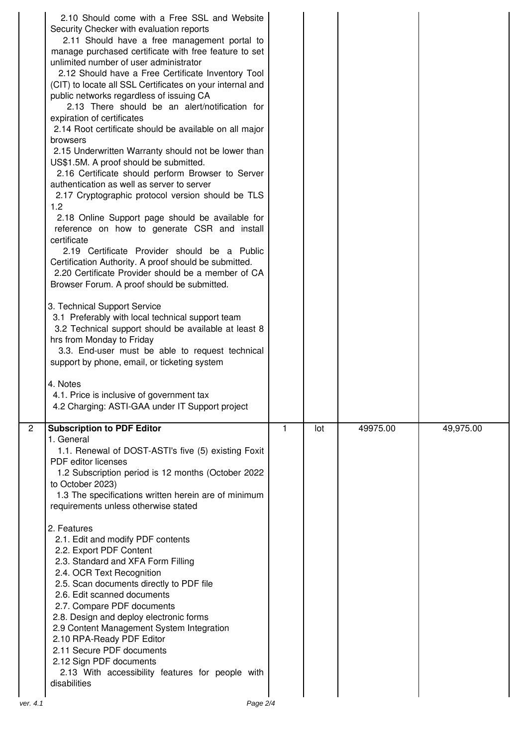|                | 2.10 Should come with a Free SSL and Website<br>Security Checker with evaluation reports<br>2.11 Should have a free management portal to<br>manage purchased certificate with free feature to set<br>unlimited number of user administrator<br>2.12 Should have a Free Certificate Inventory Tool<br>(CIT) to locate all SSL Certificates on your internal and<br>public networks regardless of issuing CA<br>2.13 There should be an alert/notification for<br>expiration of certificates<br>2.14 Root certificate should be available on all major<br>browsers<br>2.15 Underwritten Warranty should not be lower than<br>US\$1.5M. A proof should be submitted.<br>2.16 Certificate should perform Browser to Server<br>authentication as well as server to server<br>2.17 Cryptographic protocol version should be TLS<br>1.2<br>2.18 Online Support page should be available for<br>reference on how to generate CSR and install<br>certificate<br>2.19 Certificate Provider should be a Public<br>Certification Authority. A proof should be submitted.<br>2.20 Certificate Provider should be a member of CA<br>Browser Forum. A proof should be submitted.<br>3. Technical Support Service<br>3.1 Preferably with local technical support team<br>3.2 Technical support should be available at least 8<br>hrs from Monday to Friday<br>3.3. End-user must be able to request technical<br>support by phone, email, or ticketing system<br>4. Notes<br>4.1. Price is inclusive of government tax<br>4.2 Charging: ASTI-GAA under IT Support project |   |     |          |           |
|----------------|-----------------------------------------------------------------------------------------------------------------------------------------------------------------------------------------------------------------------------------------------------------------------------------------------------------------------------------------------------------------------------------------------------------------------------------------------------------------------------------------------------------------------------------------------------------------------------------------------------------------------------------------------------------------------------------------------------------------------------------------------------------------------------------------------------------------------------------------------------------------------------------------------------------------------------------------------------------------------------------------------------------------------------------------------------------------------------------------------------------------------------------------------------------------------------------------------------------------------------------------------------------------------------------------------------------------------------------------------------------------------------------------------------------------------------------------------------------------------------------------------------------------------------------------------------------|---|-----|----------|-----------|
| $\overline{2}$ | <b>Subscription to PDF Editor</b><br>1. General<br>1.1. Renewal of DOST-ASTI's five (5) existing Foxit                                                                                                                                                                                                                                                                                                                                                                                                                                                                                                                                                                                                                                                                                                                                                                                                                                                                                                                                                                                                                                                                                                                                                                                                                                                                                                                                                                                                                                                    | 1 | lot | 49975.00 | 49,975.00 |
|                | <b>PDF</b> editor licenses<br>1.2 Subscription period is 12 months (October 2022<br>to October 2023)<br>1.3 The specifications written herein are of minimum<br>requirements unless otherwise stated                                                                                                                                                                                                                                                                                                                                                                                                                                                                                                                                                                                                                                                                                                                                                                                                                                                                                                                                                                                                                                                                                                                                                                                                                                                                                                                                                      |   |     |          |           |
| ver. 4.1       | 2. Features<br>2.1. Edit and modify PDF contents<br>2.2. Export PDF Content<br>2.3. Standard and XFA Form Filling<br>2.4. OCR Text Recognition<br>2.5. Scan documents directly to PDF file<br>2.6. Edit scanned documents<br>2.7. Compare PDF documents<br>2.8. Design and deploy electronic forms<br>2.9 Content Management System Integration<br>2.10 RPA-Ready PDF Editor<br>2.11 Secure PDF documents<br>2.12 Sign PDF documents<br>2.13 With accessibility features for people with<br>disabilities<br>Page 2/4                                                                                                                                                                                                                                                                                                                                                                                                                                                                                                                                                                                                                                                                                                                                                                                                                                                                                                                                                                                                                                      |   |     |          |           |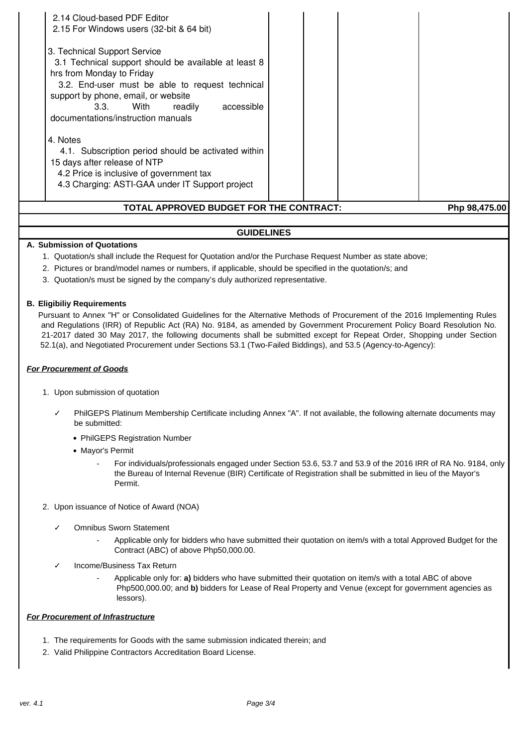| 4.3 Charging: ASTI-GAA under IT Support project<br>TOTAL APPROVED BUDGET FOR THE CONTRACT:                                      | Php 98,475.00 |
|---------------------------------------------------------------------------------------------------------------------------------|---------------|
| 4.1. Subscription period should be activated within<br>15 days after release of NTP<br>4.2 Price is inclusive of government tax |               |
| 4. Notes                                                                                                                        |               |
| readily<br>accessible<br>With<br>3.3.<br>documentations/instruction manuals                                                     |               |
| 3.2. End-user must be able to request technical<br>support by phone, email, or website                                          |               |
| hrs from Monday to Friday                                                                                                       |               |
| 3. Technical Support Service<br>3.1 Technical support should be available at least 8                                            |               |
| 2.15 For Windows users (32-bit & 64 bit)                                                                                        |               |
| 2.14 Cloud-based PDF Editor                                                                                                     |               |

# **GUIDELINES**

### **A. Submission of Quotations**

- 1. Quotation/s shall include the Request for Quotation and/or the Purchase Request Number as state above;
- 2. Pictures or brand/model names or numbers, if applicable, should be specified in the quotation/s; and
- 3. Quotation/s must be signed by the company's duly authorized representative.

#### **B. Eligibiliy Requirements**

Pursuant to Annex "H" or Consolidated Guidelines for the Alternative Methods of Procurement of the 2016 Implementing Rules and Regulations (IRR) of Republic Act (RA) No. 9184, as amended by Government Procurement Policy Board Resolution No. 21-2017 dated 30 May 2017, the following documents shall be submitted except for Repeat Order, Shopping under Section 52.1(a), and Negotiated Procurement under Sections 53.1 (Two-Failed Biddings), and 53.5 (Agency-to-Agency):

#### **For Procurement of Goods**

- 1. Upon submission of quotation
	- PhilGEPS Platinum Membership Certificate including Annex "A". If not available, the following alternate documents may be submitted:
		- PhilGEPS Registration Number
		- Mayor's Permit
			- For individuals/professionals engaged under Section 53.6, 53.7 and 53.9 of the 2016 IRR of RA No. 9184, only the Bureau of Internal Revenue (BIR) Certificate of Registration shall be submitted in lieu of the Mayor's Permit.
- 2. Upon issuance of Notice of Award (NOA)
	- Omnibus Sworn Statement
		- Applicable only for bidders who have submitted their quotation on item/s with a total Approved Budget for the Contract (ABC) of above Php50,000.00.
	- ✓ Income/Business Tax Return
		- Applicable only for: **a)** bidders who have submitted their quotation on item/s with a total ABC of above Php500,000.00; and **b)** bidders for Lease of Real Property and Venue (except for government agencies as lessors).

#### **For Procurement of Infrastructure**

- 1. The requirements for Goods with the same submission indicated therein; and
- 2. Valid Philippine Contractors Accreditation Board License.